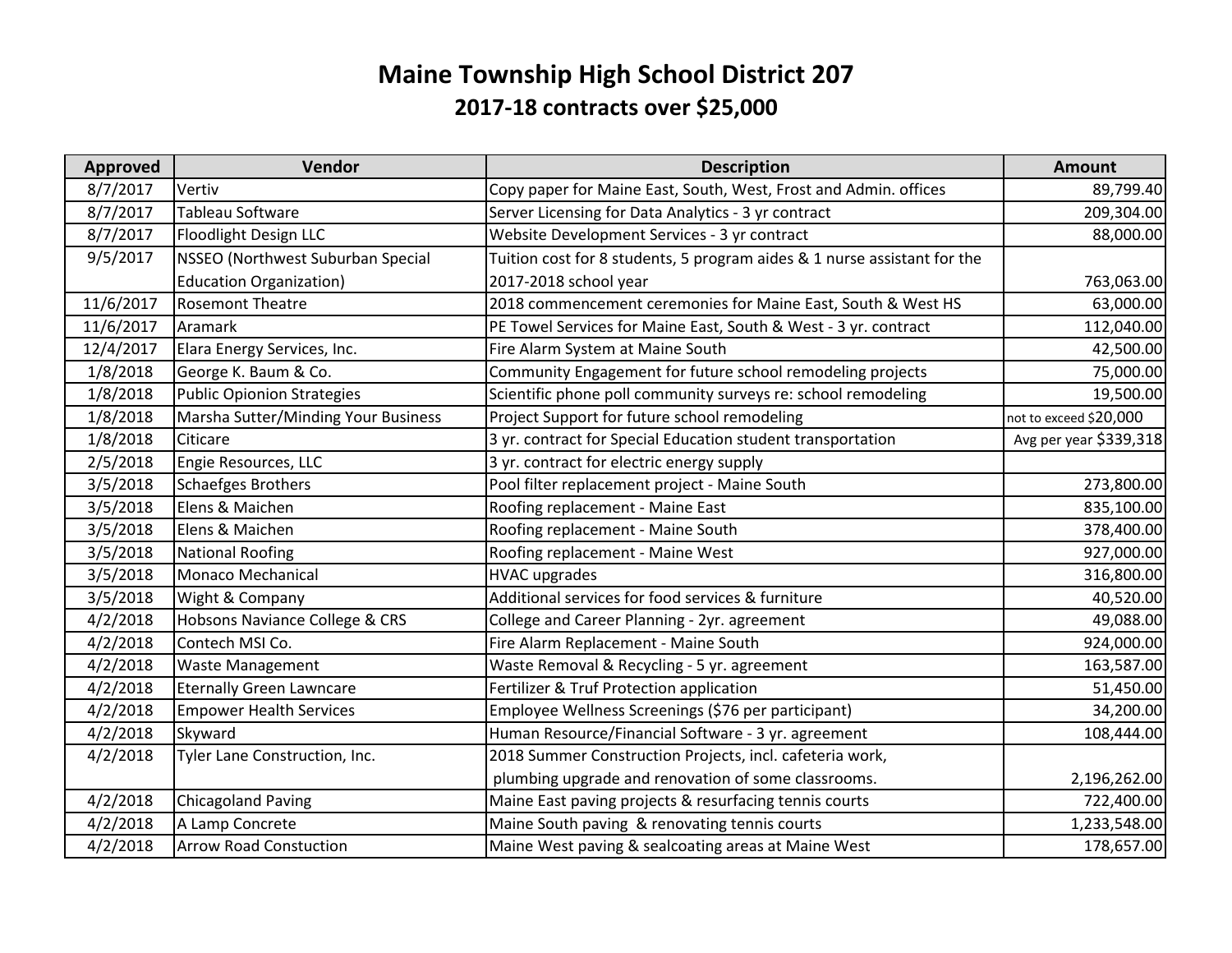## **Maine Township High School District 207 2017‐18 contracts over \$25,000**

| <b>Approved</b> | Vendor                              | <b>Description</b>                                                       | <b>Amount</b>          |
|-----------------|-------------------------------------|--------------------------------------------------------------------------|------------------------|
| 8/7/2017        | Vertiv                              | Copy paper for Maine East, South, West, Frost and Admin. offices         | 89,799.40              |
| 8/7/2017        | Tableau Software                    | Server Licensing for Data Analytics - 3 yr contract                      | 209,304.00             |
| 8/7/2017        | Floodlight Design LLC               | Website Development Services - 3 yr contract                             | 88,000.00              |
| 9/5/2017        | NSSEO (Northwest Suburban Special   | Tuition cost for 8 students, 5 program aides & 1 nurse assistant for the |                        |
|                 | <b>Education Organization)</b>      | 2017-2018 school year                                                    | 763,063.00             |
| 11/6/2017       | <b>Rosemont Theatre</b>             | 2018 commencement ceremonies for Maine East, South & West HS             | 63,000.00              |
| 11/6/2017       | Aramark                             | PE Towel Services for Maine East, South & West - 3 yr. contract          | 112,040.00             |
| 12/4/2017       | Elara Energy Services, Inc.         | Fire Alarm System at Maine South                                         | 42,500.00              |
| 1/8/2018        | George K. Baum & Co.                | Community Engagement for future school remodeling projects               | 75,000.00              |
| 1/8/2018        | Public Opionion Strategies          | Scientific phone poll community surveys re: school remodeling            | 19,500.00              |
| 1/8/2018        | Marsha Sutter/Minding Your Business | Project Support for future school remodeling                             | not to exceed \$20,000 |
| 1/8/2018        | Citicare                            | 3 yr. contract for Special Education student transportation              | Avg per year \$339,318 |
| 2/5/2018        | Engie Resources, LLC                | 3 yr. contract for electric energy supply                                |                        |
| 3/5/2018        | <b>Schaefges Brothers</b>           | Pool filter replacement project - Maine South                            | 273,800.00             |
| 3/5/2018        | Elens & Maichen                     | Roofing replacement - Maine East                                         | 835,100.00             |
| 3/5/2018        | Elens & Maichen                     | Roofing replacement - Maine South                                        | 378,400.00             |
| 3/5/2018        | <b>National Roofing</b>             | Roofing replacement - Maine West                                         | 927,000.00             |
| 3/5/2018        | Monaco Mechanical                   | <b>HVAC upgrades</b>                                                     | 316,800.00             |
| 3/5/2018        | Wight & Company                     | Additional services for food services & furniture                        | 40,520.00              |
| 4/2/2018        | Hobsons Naviance College & CRS      | College and Career Planning - 2yr. agreement                             | 49,088.00              |
| 4/2/2018        | Contech MSI Co.                     | Fire Alarm Replacement - Maine South                                     | 924,000.00             |
| 4/2/2018        | <b>Waste Management</b>             | Waste Removal & Recycling - 5 yr. agreement                              | 163,587.00             |
| 4/2/2018        | <b>Eternally Green Lawncare</b>     | Fertilizer & Truf Protection application                                 | 51,450.00              |
| 4/2/2018        | <b>Empower Health Services</b>      | Employee Wellness Screenings (\$76 per participant)                      | 34,200.00              |
| 4/2/2018        | Skyward                             | Human Resource/Financial Software - 3 yr. agreement                      | 108,444.00             |
| 4/2/2018        | Tyler Lane Construction, Inc.       | 2018 Summer Construction Projects, incl. cafeteria work,                 |                        |
|                 |                                     | plumbing upgrade and renovation of some classrooms.                      | 2,196,262.00           |
| 4/2/2018        | <b>Chicagoland Paving</b>           | Maine East paving projects & resurfacing tennis courts                   | 722,400.00             |
| 4/2/2018        | A Lamp Concrete                     | Maine South paving & renovating tennis courts                            | 1,233,548.00           |
| 4/2/2018        | <b>Arrow Road Constuction</b>       | Maine West paving & sealcoating areas at Maine West                      | 178,657.00             |